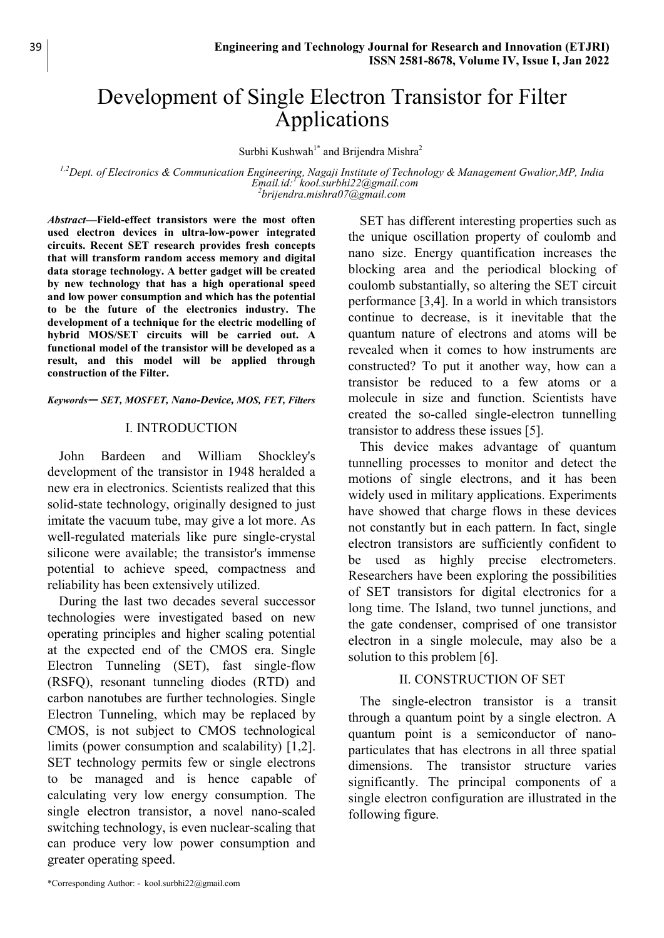# Development of Single Electron Transistor for Filter Applications

Surbhi Kushwah<sup>1\*</sup> and Brijendra Mishra<sup>2</sup>

 $1.2$  Dept. of Electronics & Communication Engineering, Nagaji Institute of Technology & Management Gwalior, MP, India Email.id: kool.surbhi22@gmail.com  $^{2}$ brijendra.mishra $07$ @gmail.com

Abstract—Field-effect transistors were the most often used electron devices in ultra-low-power integrated circuits. Recent SET research provides fresh concepts that will transform random access memory and digital data storage technology. A better gadget will be created by new technology that has a high operational speed and low power consumption and which has the potential to be the future of the electronics industry. The development of a technique for the electric modelling of hybrid MOS/SET circuits will be carried out. A functional model of the transistor will be developed as a result, and this model will be applied through construction of the Filter.

Keywords— SET, MOSFET, Nano-Device, MOS, FET, Filters

#### I. INTRODUCTION

John Bardeen and William Shockley's development of the transistor in 1948 heralded a new era in electronics. Scientists realized that this solid-state technology, originally designed to just imitate the vacuum tube, may give a lot more. As well-regulated materials like pure single-crystal silicone were available; the transistor's immense potential to achieve speed, compactness and reliability has been extensively utilized.

During the last two decades several successor technologies were investigated based on new operating principles and higher scaling potential at the expected end of the CMOS era. Single Electron Tunneling (SET), fast single-flow (RSFQ), resonant tunneling diodes (RTD) and carbon nanotubes are further technologies. Single Electron Tunneling, which may be replaced by CMOS, is not subject to CMOS technological limits (power consumption and scalability) [1,2]. SET technology permits few or single electrons to be managed and is hence capable of calculating very low energy consumption. The single electron transistor, a novel nano-scaled switching technology, is even nuclear-scaling that can produce very low power consumption and greater operating speed.

SET has different interesting properties such as the unique oscillation property of coulomb and nano size. Energy quantification increases the blocking area and the periodical blocking of coulomb substantially, so altering the SET circuit performance [3,4]. In a world in which transistors continue to decrease, is it inevitable that the quantum nature of electrons and atoms will be revealed when it comes to how instruments are constructed? To put it another way, how can a transistor be reduced to a few atoms or a molecule in size and function. Scientists have created the so-called single-electron tunnelling transistor to address these issues [5].

This device makes advantage of quantum tunnelling processes to monitor and detect the motions of single electrons, and it has been widely used in military applications. Experiments have showed that charge flows in these devices not constantly but in each pattern. In fact, single electron transistors are sufficiently confident to be used as highly precise electrometers. Researchers have been exploring the possibilities of SET transistors for digital electronics for a long time. The Island, two tunnel junctions, and the gate condenser, comprised of one transistor electron in a single molecule, may also be a solution to this problem [6].

#### II. CONSTRUCTION OF SET

The single-electron transistor is a transit through a quantum point by a single electron. A quantum point is a semiconductor of nanoparticulates that has electrons in all three spatial dimensions. The transistor structure varies significantly. The principal components of a single electron configuration are illustrated in the following figure.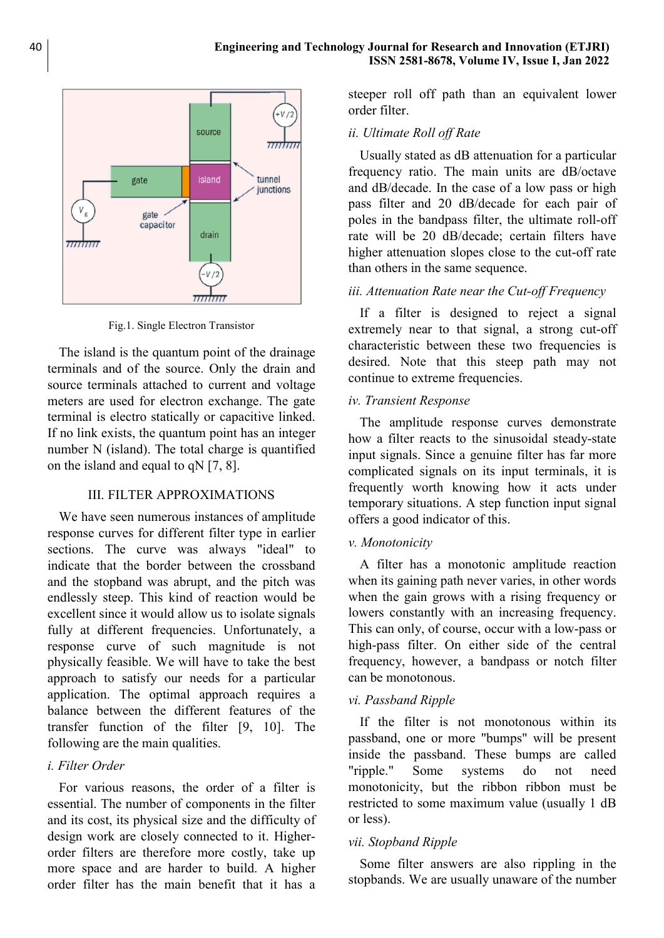

Fig.1. Single Electron Transistor

The island is the quantum point of the drainage terminals and of the source. Only the drain and source terminals attached to current and voltage meters are used for electron exchange. The gate terminal is electro statically or capacitive linked. If no link exists, the quantum point has an integer number N (island). The total charge is quantified on the island and equal to qN [7, 8].

### III. FILTER APPROXIMATIONS

We have seen numerous instances of amplitude response curves for different filter type in earlier sections. The curve was always "ideal" to indicate that the border between the crossband and the stopband was abrupt, and the pitch was endlessly steep. This kind of reaction would be excellent since it would allow us to isolate signals fully at different frequencies. Unfortunately, a response curve of such magnitude is not physically feasible. We will have to take the best approach to satisfy our needs for a particular application. The optimal approach requires a balance between the different features of the transfer function of the filter [9, 10]. The following are the main qualities.

### i. Filter Order

For various reasons, the order of a filter is essential. The number of components in the filter and its cost, its physical size and the difficulty of design work are closely connected to it. Higherorder filters are therefore more costly, take up more space and are harder to build. A higher order filter has the main benefit that it has a steeper roll off path than an equivalent lower order filter.

# ii. Ultimate Roll off Rate

Usually stated as dB attenuation for a particular frequency ratio. The main units are dB/octave and dB/decade. In the case of a low pass or high pass filter and 20 dB/decade for each pair of poles in the bandpass filter, the ultimate roll-off rate will be 20 dB/decade; certain filters have higher attenuation slopes close to the cut-off rate than others in the same sequence.

### iii. Attenuation Rate near the Cut-off Frequency

If a filter is designed to reject a signal extremely near to that signal, a strong cut-off characteristic between these two frequencies is desired. Note that this steep path may not continue to extreme frequencies.

# iv. Transient Response

The amplitude response curves demonstrate how a filter reacts to the sinusoidal steady-state input signals. Since a genuine filter has far more complicated signals on its input terminals, it is frequently worth knowing how it acts under temporary situations. A step function input signal offers a good indicator of this.

### v. Monotonicity

A filter has a monotonic amplitude reaction when its gaining path never varies, in other words when the gain grows with a rising frequency or lowers constantly with an increasing frequency. This can only, of course, occur with a low-pass or high-pass filter. On either side of the central frequency, however, a bandpass or notch filter can be monotonous.

### vi. Passband Ripple

If the filter is not monotonous within its passband, one or more "bumps" will be present inside the passband. These bumps are called "ripple." Some systems do not need monotonicity, but the ribbon ribbon must be restricted to some maximum value (usually 1 dB or less).

### vii. Stopband Ripple

Some filter answers are also rippling in the stopbands. We are usually unaware of the number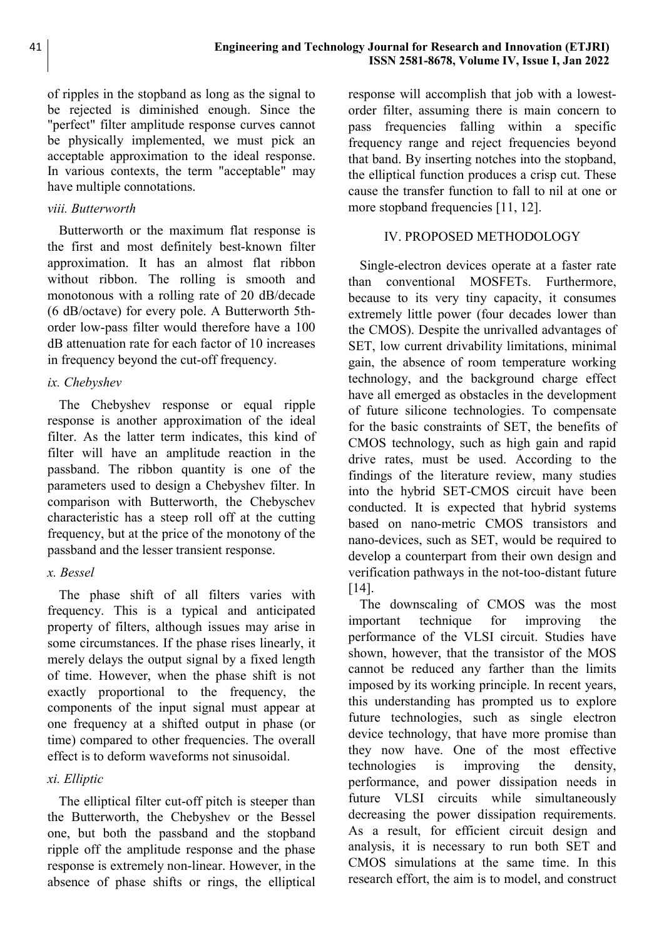of ripples in the stopband as long as the signal to be rejected is diminished enough. Since the "perfect" filter amplitude response curves cannot be physically implemented, we must pick an acceptable approximation to the ideal response. In various contexts, the term "acceptable" may have multiple connotations.

# viii. Butterworth

Butterworth or the maximum flat response is the first and most definitely best-known filter approximation. It has an almost flat ribbon without ribbon. The rolling is smooth and monotonous with a rolling rate of 20 dB/decade (6 dB/octave) for every pole. A Butterworth 5thorder low-pass filter would therefore have a 100 dB attenuation rate for each factor of 10 increases in frequency beyond the cut-off frequency.

# ix. Chebyshev

The Chebyshev response or equal ripple response is another approximation of the ideal filter. As the latter term indicates, this kind of filter will have an amplitude reaction in the passband. The ribbon quantity is one of the parameters used to design a Chebyshev filter. In comparison with Butterworth, the Chebyschev characteristic has a steep roll off at the cutting frequency, but at the price of the monotony of the passband and the lesser transient response.

# x. Bessel

The phase shift of all filters varies with frequency. This is a typical and anticipated property of filters, although issues may arise in some circumstances. If the phase rises linearly, it merely delays the output signal by a fixed length of time. However, when the phase shift is not exactly proportional to the frequency, the components of the input signal must appear at one frequency at a shifted output in phase (or time) compared to other frequencies. The overall effect is to deform waveforms not sinusoidal.

# xi. Elliptic

The elliptical filter cut-off pitch is steeper than the Butterworth, the Chebyshev or the Bessel one, but both the passband and the stopband ripple off the amplitude response and the phase response is extremely non-linear. However, in the absence of phase shifts or rings, the elliptical

response will accomplish that job with a lowestorder filter, assuming there is main concern to pass frequencies falling within a specific frequency range and reject frequencies beyond that band. By inserting notches into the stopband, the elliptical function produces a crisp cut. These cause the transfer function to fall to nil at one or more stopband frequencies [11, 12].

# IV. PROPOSED METHODOLOGY

Single-electron devices operate at a faster rate than conventional MOSFETs. Furthermore, because to its very tiny capacity, it consumes extremely little power (four decades lower than the CMOS). Despite the unrivalled advantages of SET, low current drivability limitations, minimal gain, the absence of room temperature working technology, and the background charge effect have all emerged as obstacles in the development of future silicone technologies. To compensate for the basic constraints of SET, the benefits of CMOS technology, such as high gain and rapid drive rates, must be used. According to the findings of the literature review, many studies into the hybrid SET-CMOS circuit have been conducted. It is expected that hybrid systems based on nano-metric CMOS transistors and nano-devices, such as SET, would be required to develop a counterpart from their own design and verification pathways in the not-too-distant future [14].

The downscaling of CMOS was the most important technique for improving the performance of the VLSI circuit. Studies have shown, however, that the transistor of the MOS cannot be reduced any farther than the limits imposed by its working principle. In recent years, this understanding has prompted us to explore future technologies, such as single electron device technology, that have more promise than they now have. One of the most effective technologies is improving the density, performance, and power dissipation needs in future VLSI circuits while simultaneously decreasing the power dissipation requirements. As a result, for efficient circuit design and analysis, it is necessary to run both SET and CMOS simulations at the same time. In this research effort, the aim is to model, and construct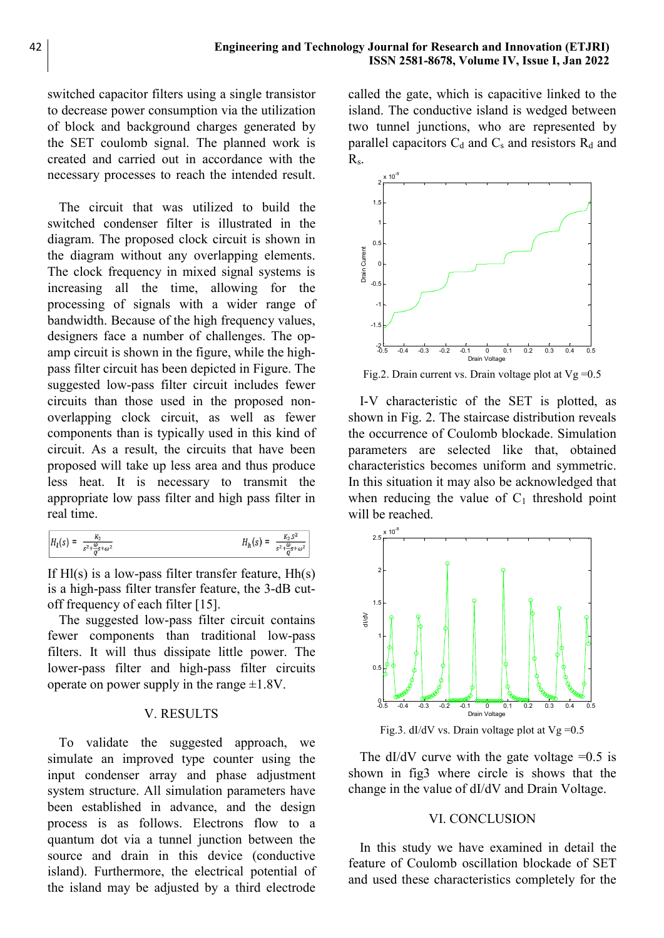switched capacitor filters using a single transistor to decrease power consumption via the utilization of block and background charges generated by the SET coulomb signal. The planned work is created and carried out in accordance with the necessary processes to reach the intended result.

The circuit that was utilized to build the switched condenser filter is illustrated in the diagram. The proposed clock circuit is shown in the diagram without any overlapping elements. The clock frequency in mixed signal systems is increasing all the time, allowing for the processing of signals with a wider range of bandwidth. Because of the high frequency values, designers face a number of challenges. The opamp circuit is shown in the figure, while the highpass filter circuit has been depicted in Figure. The suggested low-pass filter circuit includes fewer circuits than those used in the proposed nonoverlapping clock circuit, as well as fewer components than is typically used in this kind of circuit. As a result, the circuits that have been proposed will take up less area and thus produce less heat. It is necessary to transmit the appropriate low pass filter and high pass filter in real time.

$$
H_{1}(s) = \frac{K_{2}}{s^{2} + \frac{\omega}{\varrho} s + \omega^{2}}
$$
  $H_{h}(s) = \frac{K_{2}S^{2}}{s^{2} + \frac{\omega}{\varrho} s + \omega^{2}}$ 

If  $Hl(s)$  is a low-pass filter transfer feature,  $Hh(s)$ is a high-pass filter transfer feature, the 3-dB cutoff frequency of each filter [15].

The suggested low-pass filter circuit contains fewer components than traditional low-pass filters. It will thus dissipate little power. The lower-pass filter and high-pass filter circuits operate on power supply in the range  $\pm 1.8V$ .

# V. RESULTS

To validate the suggested approach, we simulate an improved type counter using the input condenser array and phase adjustment system structure. All simulation parameters have been established in advance, and the design process is as follows. Electrons flow to a quantum dot via a tunnel junction between the source and drain in this device (conductive island). Furthermore, the electrical potential of the island may be adjusted by a third electrode called the gate, which is capacitive linked to the island. The conductive island is wedged between two tunnel junctions, who are represented by parallel capacitors  $C_d$  and  $C_s$  and resistors  $R_d$  and Rs.



Fig.2. Drain current vs. Drain voltage plot at  $Vg = 0.5$ 

I-V characteristic of the SET is plotted, as shown in Fig. 2. The staircase distribution reveals the occurrence of Coulomb blockade. Simulation parameters are selected like that, obtained characteristics becomes uniform and symmetric. In this situation it may also be acknowledged that when reducing the value of  $C_1$  threshold point will be reached.



Fig.3. dI/dV vs. Drain voltage plot at  $Vg = 0.5$ 

The dI/dV curve with the gate voltage  $=0.5$  is shown in fig3 where circle is shows that the change in the value of dI/dV and Drain Voltage.

#### VI. CONCLUSION

In this study we have examined in detail the feature of Coulomb oscillation blockade of SET and used these characteristics completely for the